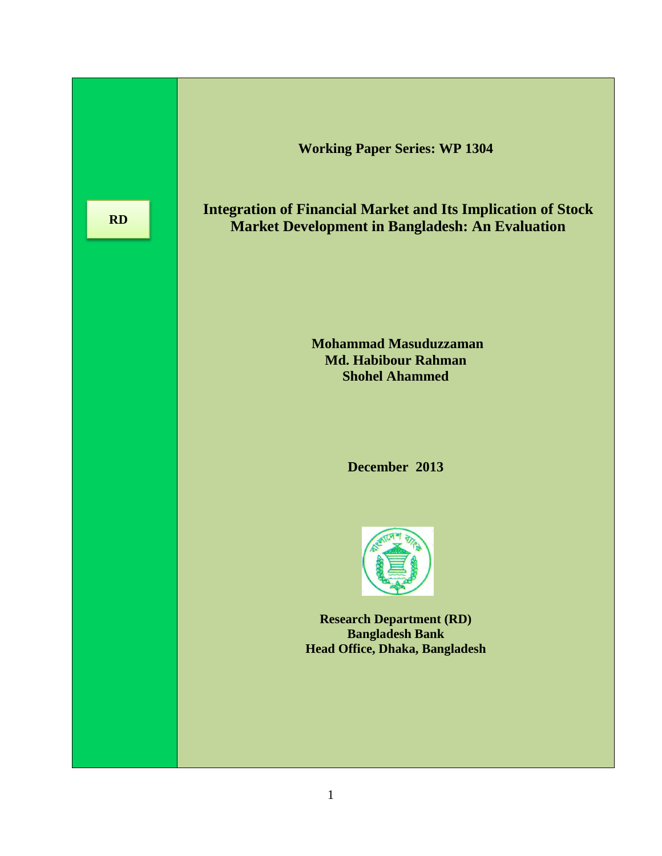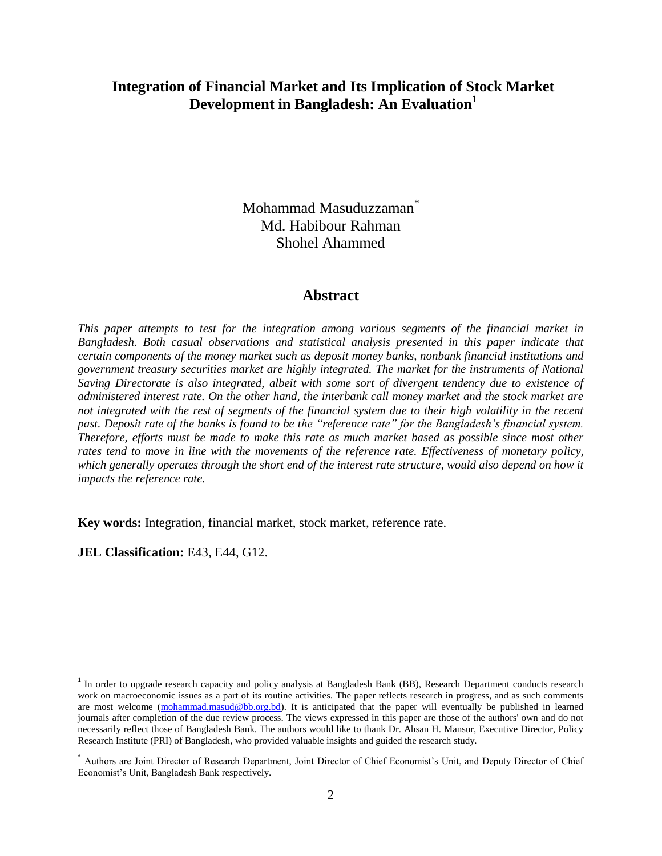## **Integration of Financial Market and Its Implication of Stock Market Development in Bangladesh: An Evaluation<sup>1</sup>**

Mohammad Masuduzzaman\* Md. Habibour Rahman Shohel Ahammed

#### **Abstract**

*This paper attempts to test for the integration among various segments of the financial market in Bangladesh. Both casual observations and statistical analysis presented in this paper indicate that certain components of the money market such as deposit money banks, nonbank financial institutions and government treasury securities market are highly integrated. The market for the instruments of National Saving Directorate is also integrated, albeit with some sort of divergent tendency due to existence of administered interest rate. On the other hand, the interbank call money market and the stock market are not integrated with the rest of segments of the financial system due to their high volatility in the recent past. Deposit rate of the banks is found to be the "reference rate" for the Bangladesh's financial system. Therefore, efforts must be made to make this rate as much market based as possible since most other rates tend to move in line with the movements of the reference rate. Effectiveness of monetary policy, which generally operates through the short end of the interest rate structure, would also depend on how it impacts the reference rate.*

**Key words:** Integration, financial market, stock market, reference rate.

**JEL Classification:** E43, E44, G12.

 $\overline{a}$ 

<sup>&</sup>lt;sup>1</sup> In order to upgrade research capacity and policy analysis at Bangladesh Bank (BB), Research Department conducts research work on macroeconomic issues as a part of its routine activities. The paper reflects research in progress, and as such comments are most welcome [\(mohammad.masud@bb.org.bd\)](mailto:mohammad.masud@bb.org.bd). It is anticipated that the paper will eventually be published in learned journals after completion of the due review process. The views expressed in this paper are those of the authors' own and do not necessarily reflect those of Bangladesh Bank. The authors would like to thank Dr. Ahsan H. Mansur, Executive Director, Policy Research Institute (PRI) of Bangladesh, who provided valuable insights and guided the research study.

<sup>\*</sup> Authors are Joint Director of Research Department, Joint Director of Chief Economist's Unit, and Deputy Director of Chief Economist's Unit, Bangladesh Bank respectively.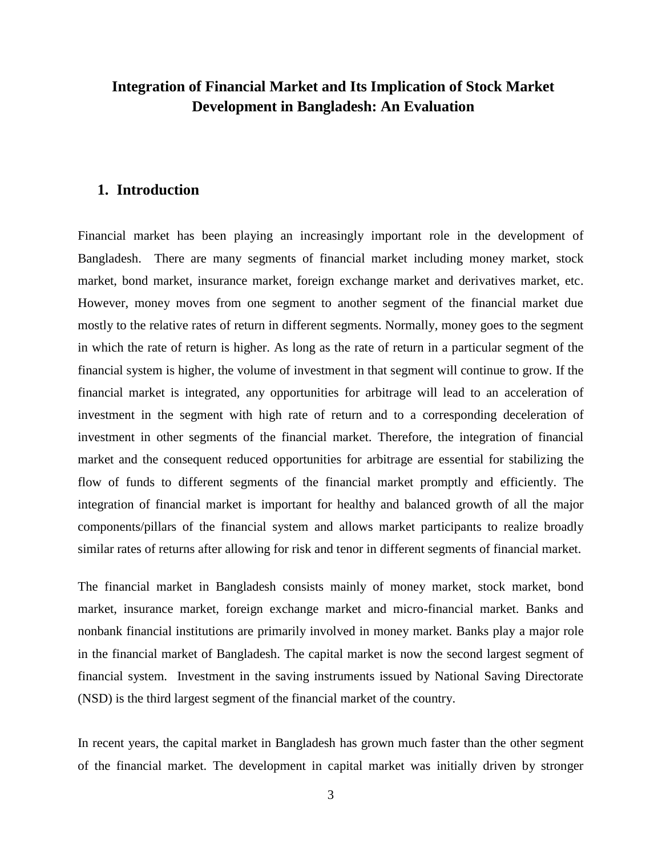# **Integration of Financial Market and Its Implication of Stock Market Development in Bangladesh: An Evaluation**

### **1. Introduction**

Financial market has been playing an increasingly important role in the development of Bangladesh. There are many segments of financial market including money market, stock market, bond market, insurance market, foreign exchange market and derivatives market, etc. However, money moves from one segment to another segment of the financial market due mostly to the relative rates of return in different segments. Normally, money goes to the segment in which the rate of return is higher. As long as the rate of return in a particular segment of the financial system is higher, the volume of investment in that segment will continue to grow. If the financial market is integrated, any opportunities for arbitrage will lead to an acceleration of investment in the segment with high rate of return and to a corresponding deceleration of investment in other segments of the financial market. Therefore, the integration of financial market and the consequent reduced opportunities for arbitrage are essential for stabilizing the flow of funds to different segments of the financial market promptly and efficiently. The integration of financial market is important for healthy and balanced growth of all the major components/pillars of the financial system and allows market participants to realize broadly similar rates of returns after allowing for risk and tenor in different segments of financial market.

The financial market in Bangladesh consists mainly of money market, stock market, bond market, insurance market, foreign exchange market and micro-financial market. Banks and nonbank financial institutions are primarily involved in money market. Banks play a major role in the financial market of Bangladesh. The capital market is now the second largest segment of financial system. Investment in the saving instruments issued by National Saving Directorate (NSD) is the third largest segment of the financial market of the country.

In recent years, the capital market in Bangladesh has grown much faster than the other segment of the financial market. The development in capital market was initially driven by stronger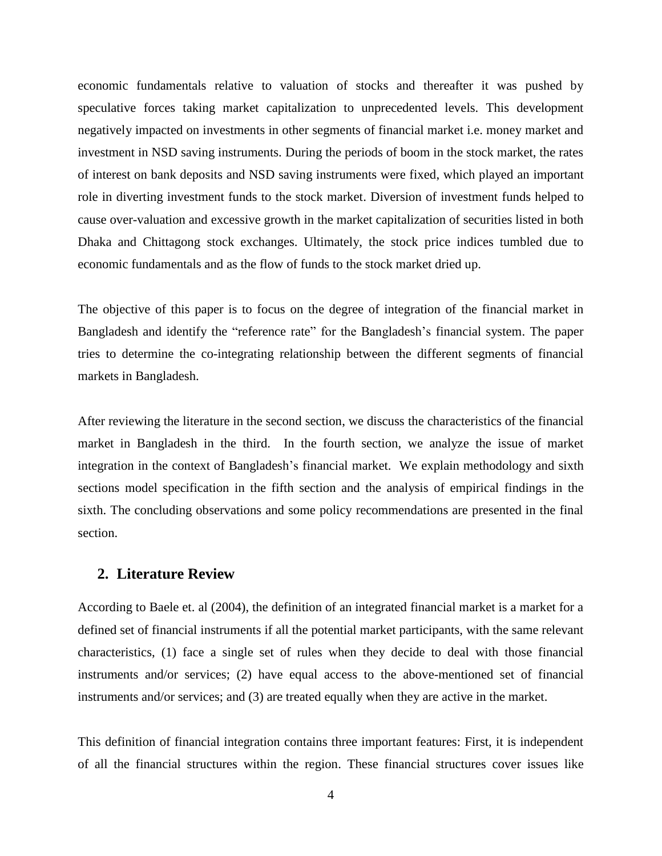economic fundamentals relative to valuation of stocks and thereafter it was pushed by speculative forces taking market capitalization to unprecedented levels. This development negatively impacted on investments in other segments of financial market i.e. money market and investment in NSD saving instruments. During the periods of boom in the stock market, the rates of interest on bank deposits and NSD saving instruments were fixed, which played an important role in diverting investment funds to the stock market. Diversion of investment funds helped to cause over-valuation and excessive growth in the market capitalization of securities listed in both Dhaka and Chittagong stock exchanges. Ultimately, the stock price indices tumbled due to economic fundamentals and as the flow of funds to the stock market dried up.

The objective of this paper is to focus on the degree of integration of the financial market in Bangladesh and identify the "reference rate" for the Bangladesh's financial system. The paper tries to determine the co-integrating relationship between the different segments of financial markets in Bangladesh.

After reviewing the literature in the second section, we discuss the characteristics of the financial market in Bangladesh in the third. In the fourth section, we analyze the issue of market integration in the context of Bangladesh's financial market. We explain methodology and sixth sections model specification in the fifth section and the analysis of empirical findings in the sixth. The concluding observations and some policy recommendations are presented in the final section.

#### **2. Literature Review**

According to Baele et. al (2004), the definition of an integrated financial market is a market for a defined set of financial instruments if all the potential market participants, with the same relevant characteristics, (1) face a single set of rules when they decide to deal with those financial instruments and/or services; (2) have equal access to the above-mentioned set of financial instruments and/or services; and (3) are treated equally when they are active in the market.

This definition of financial integration contains three important features: First, it is independent of all the financial structures within the region. These financial structures cover issues like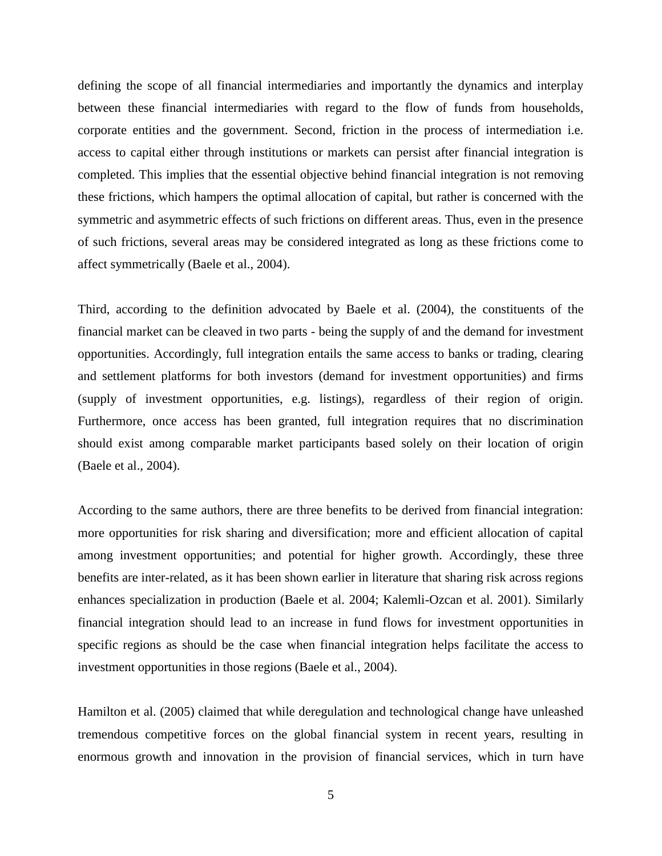defining the scope of all financial intermediaries and importantly the dynamics and interplay between these financial intermediaries with regard to the flow of funds from households, corporate entities and the government. Second, friction in the process of intermediation i.e. access to capital either through institutions or markets can persist after financial integration is completed. This implies that the essential objective behind financial integration is not removing these frictions, which hampers the optimal allocation of capital, but rather is concerned with the symmetric and asymmetric effects of such frictions on different areas. Thus, even in the presence of such frictions, several areas may be considered integrated as long as these frictions come to affect symmetrically (Baele et al., 2004).

Third, according to the definition advocated by Baele et al. (2004), the constituents of the financial market can be cleaved in two parts - being the supply of and the demand for investment opportunities. Accordingly, full integration entails the same access to banks or trading, clearing and settlement platforms for both investors (demand for investment opportunities) and firms (supply of investment opportunities, e.g. listings), regardless of their region of origin. Furthermore, once access has been granted, full integration requires that no discrimination should exist among comparable market participants based solely on their location of origin (Baele et al., 2004).

According to the same authors, there are three benefits to be derived from financial integration: more opportunities for risk sharing and diversification; more and efficient allocation of capital among investment opportunities; and potential for higher growth. Accordingly, these three benefits are inter-related, as it has been shown earlier in literature that sharing risk across regions enhances specialization in production (Baele et al. 2004; Kalemli-Ozcan et al. 2001). Similarly financial integration should lead to an increase in fund flows for investment opportunities in specific regions as should be the case when financial integration helps facilitate the access to investment opportunities in those regions (Baele et al., 2004).

Hamilton et al. (2005) claimed that while deregulation and technological change have unleashed tremendous competitive forces on the global financial system in recent years, resulting in enormous growth and innovation in the provision of financial services, which in turn have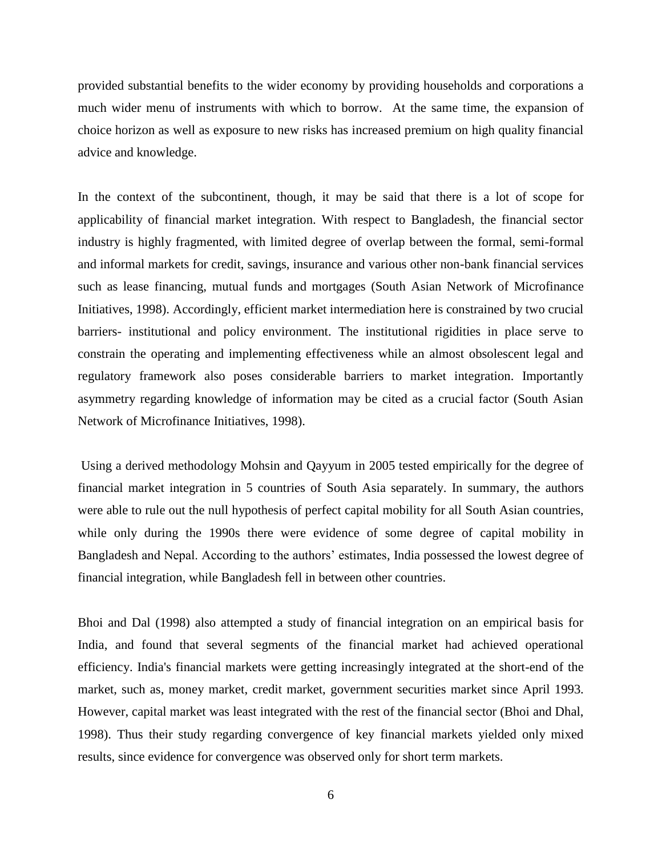provided substantial benefits to the wider economy by providing households and corporations a much wider menu of instruments with which to borrow. At the same time, the expansion of choice horizon as well as exposure to new risks has increased premium on high quality financial advice and knowledge.

In the context of the subcontinent, though, it may be said that there is a lot of scope for applicability of financial market integration. With respect to Bangladesh, the financial sector industry is highly fragmented, with limited degree of overlap between the formal, semi-formal and informal markets for credit, savings, insurance and various other non-bank financial services such as lease financing, mutual funds and mortgages (South Asian Network of Microfinance Initiatives, 1998). Accordingly, efficient market intermediation here is constrained by two crucial barriers- institutional and policy environment. The institutional rigidities in place serve to constrain the operating and implementing effectiveness while an almost obsolescent legal and regulatory framework also poses considerable barriers to market integration. Importantly asymmetry regarding knowledge of information may be cited as a crucial factor (South Asian Network of Microfinance Initiatives, 1998).

Using a derived methodology Mohsin and Qayyum in 2005 tested empirically for the degree of financial market integration in 5 countries of South Asia separately. In summary, the authors were able to rule out the null hypothesis of perfect capital mobility for all South Asian countries, while only during the 1990s there were evidence of some degree of capital mobility in Bangladesh and Nepal. According to the authors' estimates, India possessed the lowest degree of financial integration, while Bangladesh fell in between other countries.

Bhoi and Dal (1998) also attempted a study of financial integration on an empirical basis for India, and found that several segments of the financial market had achieved operational efficiency. India's financial markets were getting increasingly integrated at the short-end of the market, such as, money market, credit market, government securities market since April 1993. However, capital market was least integrated with the rest of the financial sector (Bhoi and Dhal, 1998). Thus their study regarding convergence of key financial markets yielded only mixed results, since evidence for convergence was observed only for short term markets.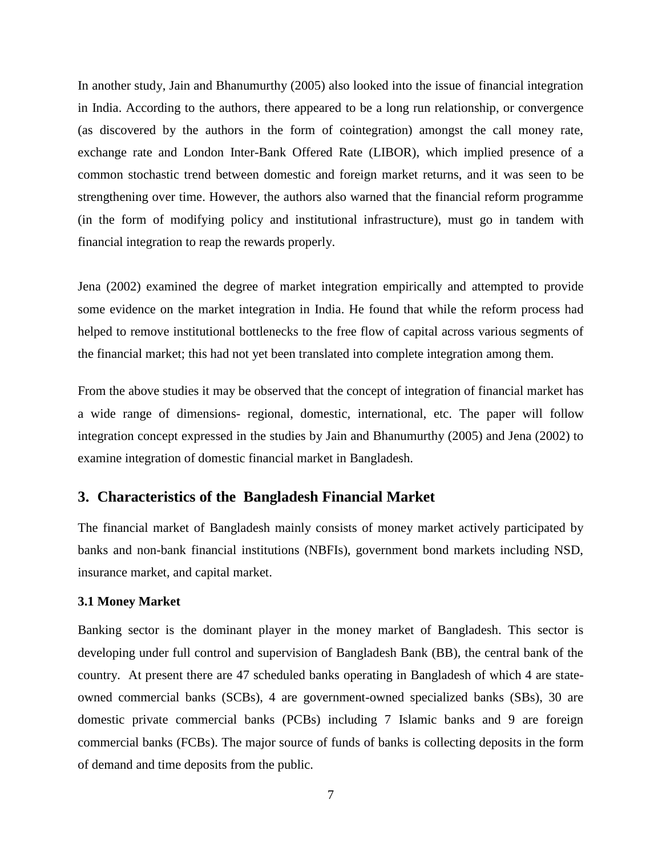In another study, Jain and Bhanumurthy (2005) also looked into the issue of financial integration in India. According to the authors, there appeared to be a long run relationship, or convergence (as discovered by the authors in the form of cointegration) amongst the call money rate, exchange rate and London Inter-Bank Offered Rate (LIBOR), which implied presence of a common stochastic trend between domestic and foreign market returns, and it was seen to be strengthening over time. However, the authors also warned that the financial reform programme (in the form of modifying policy and institutional infrastructure), must go in tandem with financial integration to reap the rewards properly.

Jena (2002) examined the degree of market integration empirically and attempted to provide some evidence on the market integration in India. He found that while the reform process had helped to remove institutional bottlenecks to the free flow of capital across various segments of the financial market; this had not yet been translated into complete integration among them.

From the above studies it may be observed that the concept of integration of financial market has a wide range of dimensions- regional, domestic, international, etc. The paper will follow integration concept expressed in the studies by Jain and Bhanumurthy (2005) and Jena (2002) to examine integration of domestic financial market in Bangladesh.

### **3. Characteristics of the Bangladesh Financial Market**

The financial market of Bangladesh mainly consists of money market actively participated by banks and non-bank financial institutions (NBFIs), government bond markets including NSD, insurance market, and capital market.

#### **3.1 Money Market**

Banking sector is the dominant player in the money market of Bangladesh. This sector is developing under full control and supervision of Bangladesh Bank (BB), the central bank of the country. At present there are 47 scheduled banks operating in Bangladesh of which 4 are stateowned commercial banks (SCBs), 4 are government-owned specialized banks (SBs), 30 are domestic private commercial banks (PCBs) including 7 Islamic banks and 9 are foreign commercial banks (FCBs). The major source of funds of banks is collecting deposits in the form of demand and time deposits from the public.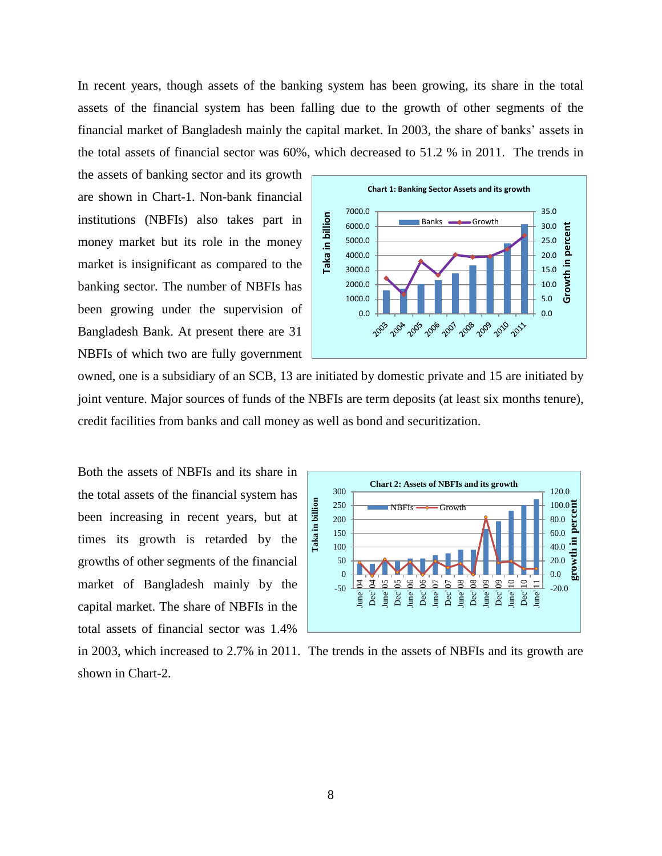In recent years, though assets of the banking system has been growing, its share in the total assets of the financial system has been falling due to the growth of other segments of the financial market of Bangladesh mainly the capital market. In 2003, the share of banks' assets in the total assets of financial sector was 60%, which decreased to 51.2 % in 2011. The trends in

the assets of banking sector and its growth are shown in Chart-1. Non-bank financial institutions (NBFIs) also takes part in money market but its role in the money market is insignificant as compared to the banking sector. The number of NBFIs has been growing under the supervision of Bangladesh Bank. At present there are 31 NBFIs of which two are fully government



owned, one is a subsidiary of an SCB, 13 are initiated by domestic private and 15 are initiated by joint venture. Major sources of funds of the NBFIs are term deposits (at least six months tenure), credit facilities from banks and call money as well as bond and securitization.

Both the assets of NBFIs and its share in the total assets of the financial system has been increasing in recent years, but at times its growth is retarded by the growths of other segments of the financial market of Bangladesh mainly by the capital market. The share of NBFIs in the total assets of financial sector was 1.4%



in 2003, which increased to 2.7% in 2011. The trends in the assets of NBFIs and its growth are shown in Chart-2.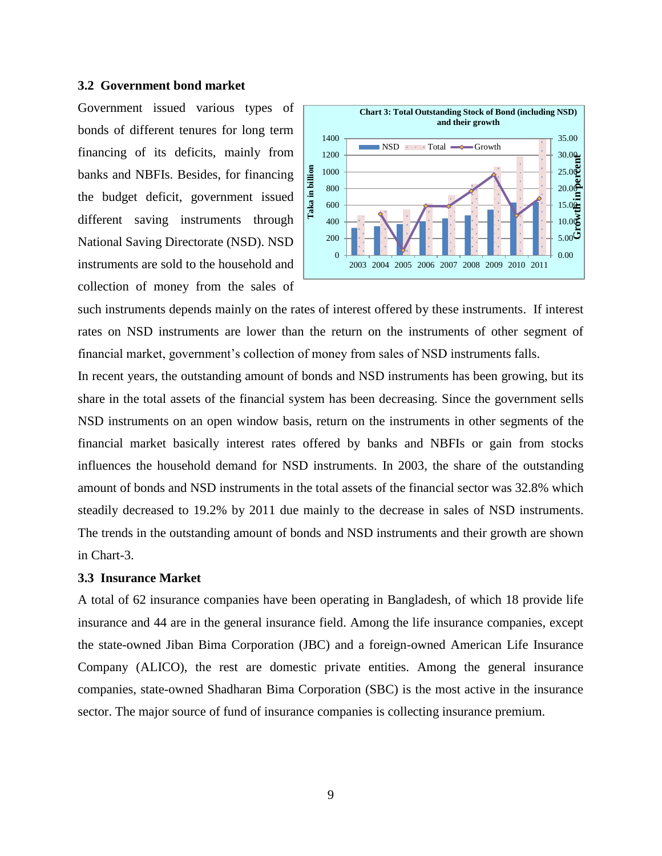#### **3.2 Government bond market**

Government issued various types of bonds of different tenures for long term financing of its deficits, mainly from banks and NBFIs. Besides, for financing the budget deficit, government issued different saving instruments through National Saving Directorate (NSD). NSD instruments are sold to the household and collection of money from the sales of



such instruments depends mainly on the rates of interest offered by these instruments. If interest rates on NSD instruments are lower than the return on the instruments of other segment of financial market, government's collection of money from sales of NSD instruments falls.

In recent years, the outstanding amount of bonds and NSD instruments has been growing, but its share in the total assets of the financial system has been decreasing. Since the government sells NSD instruments on an open window basis, return on the instruments in other segments of the financial market basically interest rates offered by banks and NBFIs or gain from stocks influences the household demand for NSD instruments. In 2003, the share of the outstanding amount of bonds and NSD instruments in the total assets of the financial sector was 32.8% which steadily decreased to 19.2% by 2011 due mainly to the decrease in sales of NSD instruments. The trends in the outstanding amount of bonds and NSD instruments and their growth are shown in Chart-3.

#### **3.3 Insurance Market**

A total of 62 insurance companies have been operating in Bangladesh, of which 18 provide life insurance and 44 are in the general insurance field. Among the life insurance companies, except the state-owned Jiban Bima Corporation (JBC) and a foreign-owned American Life Insurance Company (ALICO), the rest are domestic private entities. Among the general insurance companies, state-owned Shadharan Bima Corporation (SBC) is the most active in the insurance sector. The major source of fund of insurance companies is collecting insurance premium.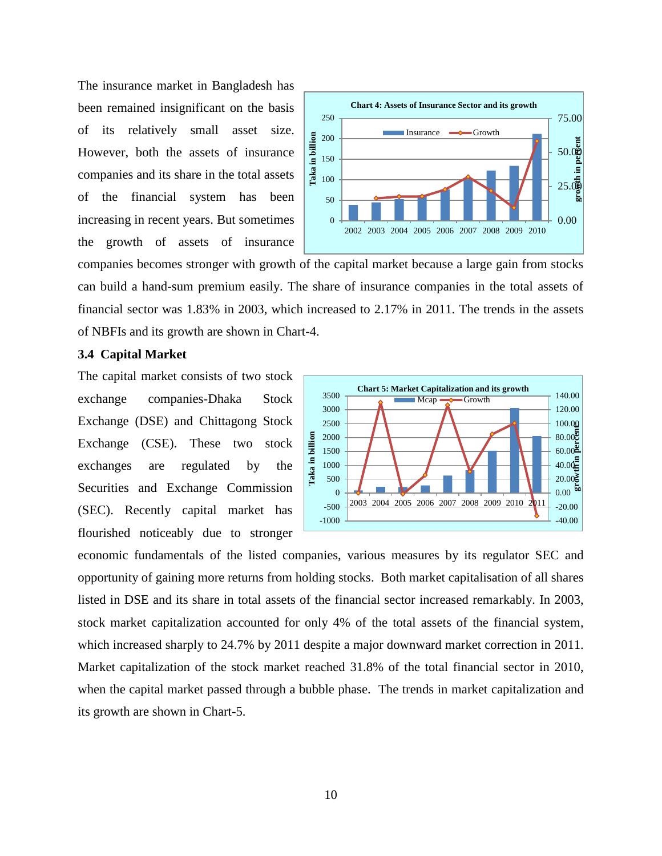The insurance market in Bangladesh has been remained insignificant on the basis of its relatively small asset size. However, both the assets of insurance companies and its share in the total assets of the financial system has been increasing in recent years. But sometimes the growth of assets of insurance



companies becomes stronger with growth of the capital market because a large gain from stocks can build a hand-sum premium easily. The share of insurance companies in the total assets of financial sector was 1.83% in 2003, which increased to 2.17% in 2011. The trends in the assets of NBFIs and its growth are shown in Chart-4.

#### **3.4 Capital Market**

The capital market consists of two stock exchange companies-Dhaka Stock Exchange (DSE) and Chittagong Stock Exchange (CSE). These two stock exchanges are regulated by the Securities and Exchange Commission (SEC). Recently capital market has flourished noticeably due to stronger



economic fundamentals of the listed companies, various measures by its regulator SEC and opportunity of gaining more returns from holding stocks. Both market capitalisation of all shares listed in DSE and its share in total assets of the financial sector increased remarkably. In 2003, stock market capitalization accounted for only 4% of the total assets of the financial system, which increased sharply to 24.7% by 2011 despite a major downward market correction in 2011. Market capitalization of the stock market reached 31.8% of the total financial sector in 2010, when the capital market passed through a bubble phase. The trends in market capitalization and its growth are shown in Chart-5.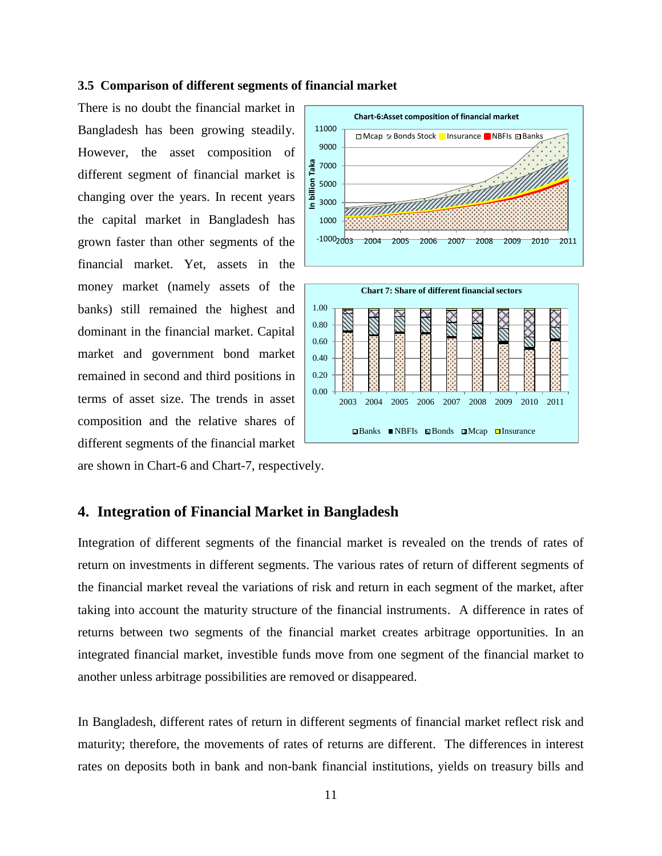#### **3.5 Comparison of different segments of financial market**

There is no doubt the financial market in Bangladesh has been growing steadily. However, the asset composition of different segment of financial market is changing over the years. In recent years the capital market in Bangladesh has grown faster than other segments of the financial market. Yet, assets in the money market (namely assets of the banks) still remained the highest and dominant in the financial market. Capital market and government bond market remained in second and third positions in terms of asset size. The trends in asset composition and the relative shares of different segments of the financial market



are shown in Chart-6 and Chart-7, respectively.

## **4. Integration of Financial Market in Bangladesh**

Integration of different segments of the financial market is revealed on the trends of rates of return on investments in different segments. The various rates of return of different segments of the financial market reveal the variations of risk and return in each segment of the market, after taking into account the maturity structure of the financial instruments. A difference in rates of returns between two segments of the financial market creates arbitrage opportunities. In an integrated financial market, investible funds move from one segment of the financial market to another unless arbitrage possibilities are removed or disappeared.

In Bangladesh, different rates of return in different segments of financial market reflect risk and maturity; therefore, the movements of rates of returns are different. The differences in interest rates on deposits both in bank and non-bank financial institutions, yields on treasury bills and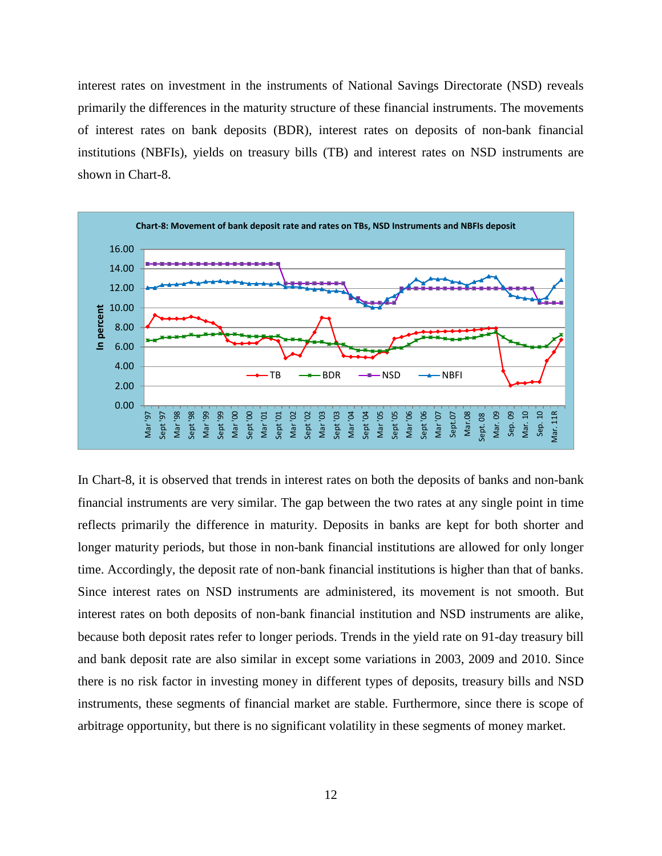interest rates on investment in the instruments of National Savings Directorate (NSD) reveals primarily the differences in the maturity structure of these financial instruments. The movements of interest rates on bank deposits (BDR), interest rates on deposits of non-bank financial institutions (NBFIs), yields on treasury bills (TB) and interest rates on NSD instruments are shown in Chart-8.



In Chart-8, it is observed that trends in interest rates on both the deposits of banks and non-bank financial instruments are very similar. The gap between the two rates at any single point in time reflects primarily the difference in maturity. Deposits in banks are kept for both shorter and longer maturity periods, but those in non-bank financial institutions are allowed for only longer time. Accordingly, the deposit rate of non-bank financial institutions is higher than that of banks. Since interest rates on NSD instruments are administered, its movement is not smooth. But interest rates on both deposits of non-bank financial institution and NSD instruments are alike, because both deposit rates refer to longer periods. Trends in the yield rate on 91-day treasury bill and bank deposit rate are also similar in except some variations in 2003, 2009 and 2010. Since there is no risk factor in investing money in different types of deposits, treasury bills and NSD instruments, these segments of financial market are stable. Furthermore, since there is scope of arbitrage opportunity, but there is no significant volatility in these segments of money market.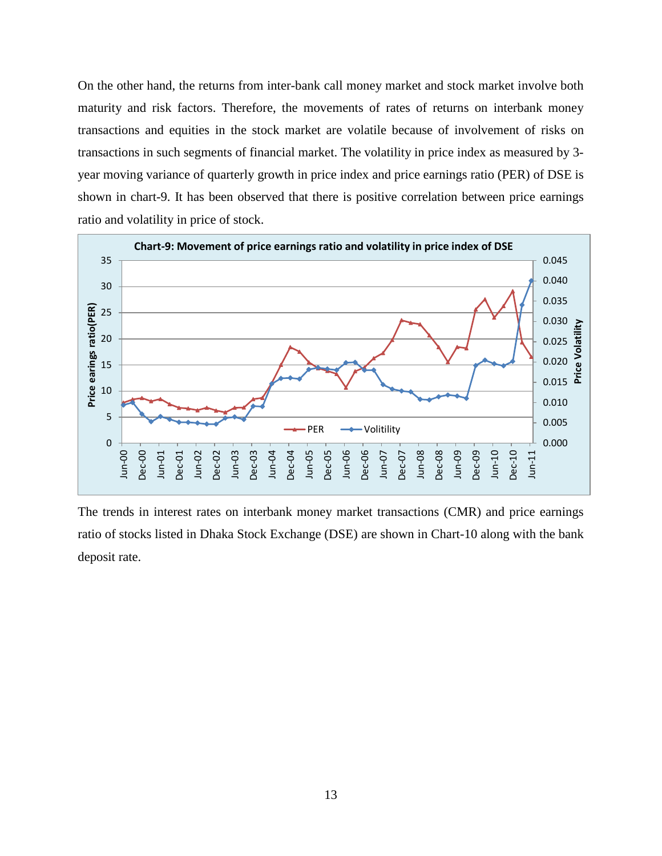On the other hand, the returns from inter-bank call money market and stock market involve both maturity and risk factors. Therefore, the movements of rates of returns on interbank money transactions and equities in the stock market are volatile because of involvement of risks on transactions in such segments of financial market. The volatility in price index as measured by 3 year moving variance of quarterly growth in price index and price earnings ratio (PER) of DSE is shown in chart-9. It has been observed that there is positive correlation between price earnings ratio and volatility in price of stock.



The trends in interest rates on interbank money market transactions (CMR) and price earnings ratio of stocks listed in Dhaka Stock Exchange (DSE) are shown in Chart-10 along with the bank deposit rate.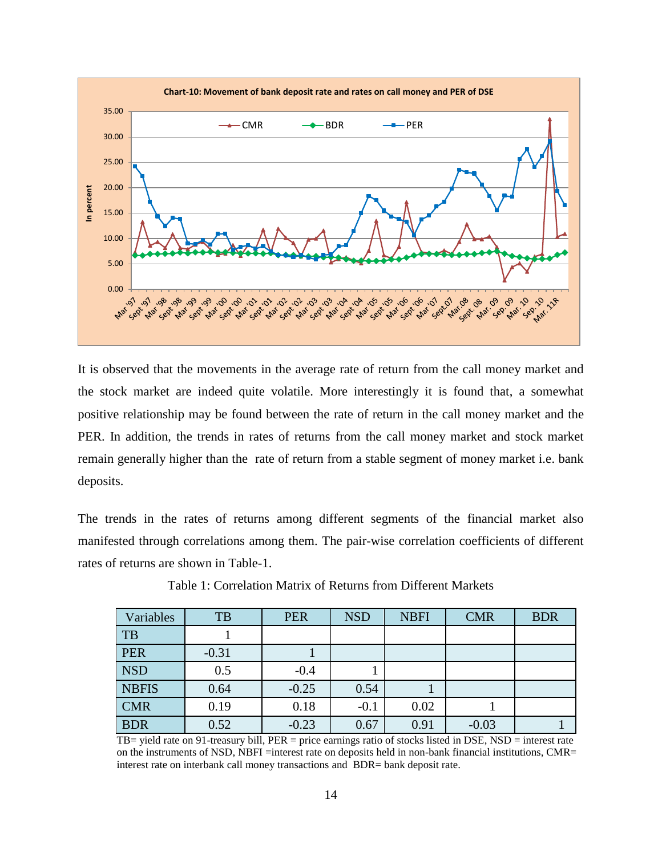

It is observed that the movements in the average rate of return from the call money market and the stock market are indeed quite volatile. More interestingly it is found that, a somewhat positive relationship may be found between the rate of return in the call money market and the PER. In addition, the trends in rates of returns from the call money market and stock market remain generally higher than the rate of return from a stable segment of money market i.e. bank deposits.

The trends in the rates of returns among different segments of the financial market also manifested through correlations among them. The pair-wise correlation coefficients of different rates of returns are shown in Table-1.

| Variables    | TB      | <b>PER</b> | <b>NSD</b> | <b>NBFI</b> | <b>CMR</b> | <b>BDR</b> |
|--------------|---------|------------|------------|-------------|------------|------------|
| TB           |         |            |            |             |            |            |
| PER          | $-0.31$ |            |            |             |            |            |
| <b>NSD</b>   | 0.5     | $-0.4$     |            |             |            |            |
| <b>NBFIS</b> | 0.64    | $-0.25$    | 0.54       |             |            |            |
| <b>CMR</b>   | 0.19    | 0.18       | $-0.1$     | 0.02        |            |            |
| <b>BDR</b>   | 0.52    | $-0.23$    | 0.67       | 0.91        | $-0.03$    |            |

Table 1: Correlation Matrix of Returns from Different Markets

TB= yield rate on 91-treasury bill, PER = price earnings ratio of stocks listed in DSE, NSD = interest rate on the instruments of NSD, NBFI =interest rate on deposits held in non-bank financial institutions, CMR= interest rate on interbank call money transactions and BDR= bank deposit rate.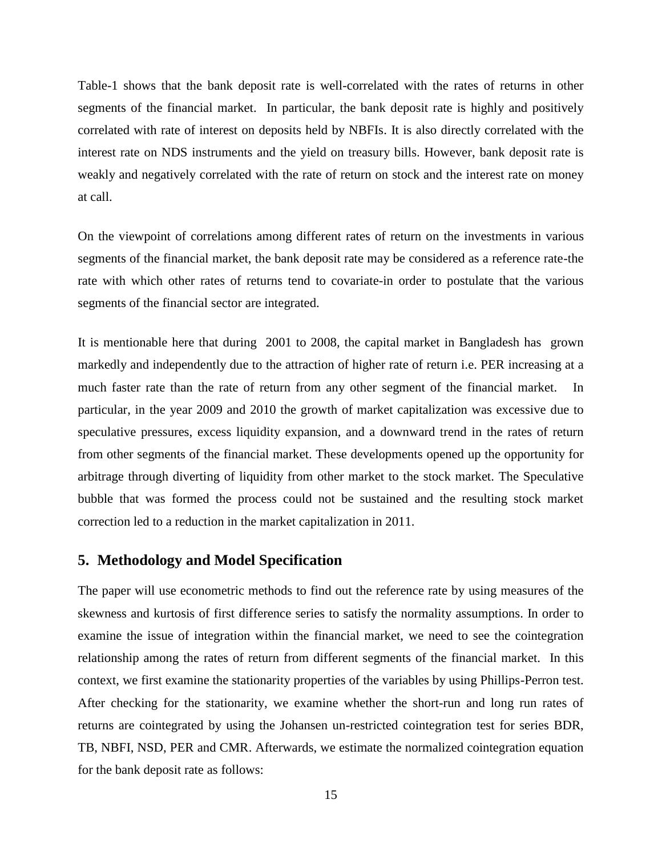Table-1 shows that the bank deposit rate is well-correlated with the rates of returns in other segments of the financial market. In particular, the bank deposit rate is highly and positively correlated with rate of interest on deposits held by NBFIs. It is also directly correlated with the interest rate on NDS instruments and the yield on treasury bills. However, bank deposit rate is weakly and negatively correlated with the rate of return on stock and the interest rate on money at call.

On the viewpoint of correlations among different rates of return on the investments in various segments of the financial market, the bank deposit rate may be considered as a reference rate-the rate with which other rates of returns tend to covariate-in order to postulate that the various segments of the financial sector are integrated.

It is mentionable here that during 2001 to 2008, the capital market in Bangladesh has grown markedly and independently due to the attraction of higher rate of return i.e. PER increasing at a much faster rate than the rate of return from any other segment of the financial market. In particular, in the year 2009 and 2010 the growth of market capitalization was excessive due to speculative pressures, excess liquidity expansion, and a downward trend in the rates of return from other segments of the financial market. These developments opened up the opportunity for arbitrage through diverting of liquidity from other market to the stock market. The Speculative bubble that was formed the process could not be sustained and the resulting stock market correction led to a reduction in the market capitalization in 2011.

## **5. Methodology and Model Specification**

The paper will use econometric methods to find out the reference rate by using measures of the skewness and kurtosis of first difference series to satisfy the normality assumptions. In order to examine the issue of integration within the financial market, we need to see the cointegration relationship among the rates of return from different segments of the financial market. In this context, we first examine the stationarity properties of the variables by using Phillips-Perron test. After checking for the stationarity, we examine whether the short-run and long run rates of returns are cointegrated by using the Johansen un-restricted cointegration test for series BDR, TB, NBFI, NSD, PER and CMR. Afterwards, we estimate the normalized cointegration equation for the bank deposit rate as follows: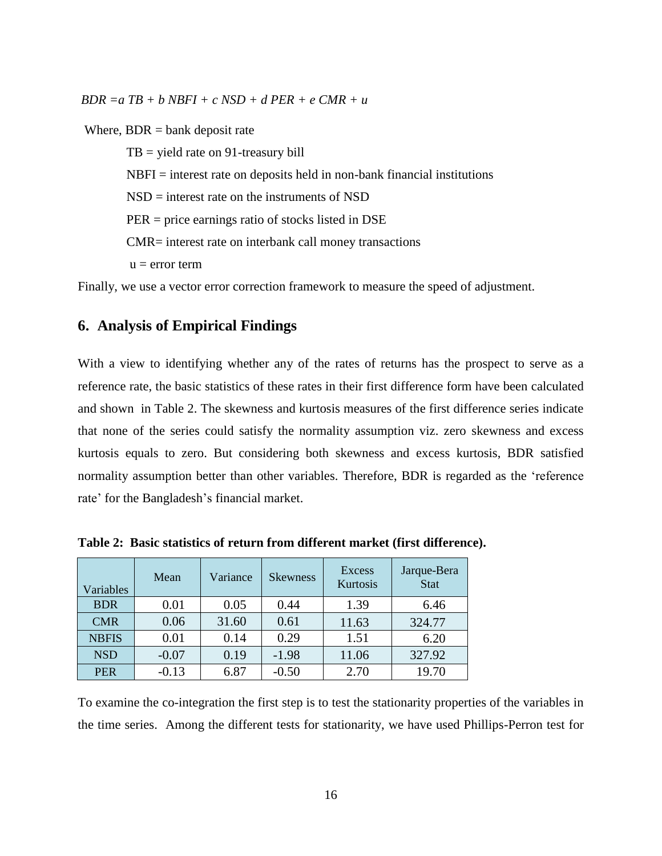*BDR =a TB + b NBFI + c NSD + d PER + e CMR + u*

Where,  $BDR =$  bank deposit rate

 $TB = yield$  rate on 91-treasury bill  $NBFI =$  interest rate on deposits held in non-bank financial institutions NSD = interest rate on the instruments of NSD PER = price earnings ratio of stocks listed in DSE CMR= interest rate on interbank call money transactions  $u = error term$ 

Finally, we use a vector error correction framework to measure the speed of adjustment.

## **6. Analysis of Empirical Findings**

With a view to identifying whether any of the rates of returns has the prospect to serve as a reference rate, the basic statistics of these rates in their first difference form have been calculated and shown in Table 2. The skewness and kurtosis measures of the first difference series indicate that none of the series could satisfy the normality assumption viz. zero skewness and excess kurtosis equals to zero. But considering both skewness and excess kurtosis, BDR satisfied normality assumption better than other variables. Therefore, BDR is regarded as the 'reference rate' for the Bangladesh's financial market.

| Variables    | Mean    | Variance | <b>Skewness</b> | <b>Excess</b><br>Kurtosis | Jarque-Bera<br><b>Stat</b> |
|--------------|---------|----------|-----------------|---------------------------|----------------------------|
| <b>BDR</b>   | 0.01    | 0.05     | 0.44            | 1.39                      | 6.46                       |
| <b>CMR</b>   | 0.06    | 31.60    | 0.61            | 11.63                     | 324.77                     |
| <b>NBFIS</b> | 0.01    | 0.14     | 0.29            | 1.51                      | 6.20                       |
| <b>NSD</b>   | $-0.07$ | 0.19     | $-1.98$         | 11.06                     | 327.92                     |
| <b>PER</b>   | $-0.13$ | 6.87     | $-0.50$         | 2.70                      | 19.70                      |

**Table 2: Basic statistics of return from different market (first difference).**

To examine the co-integration the first step is to test the stationarity properties of the variables in the time series. Among the different tests for stationarity, we have used Phillips-Perron test for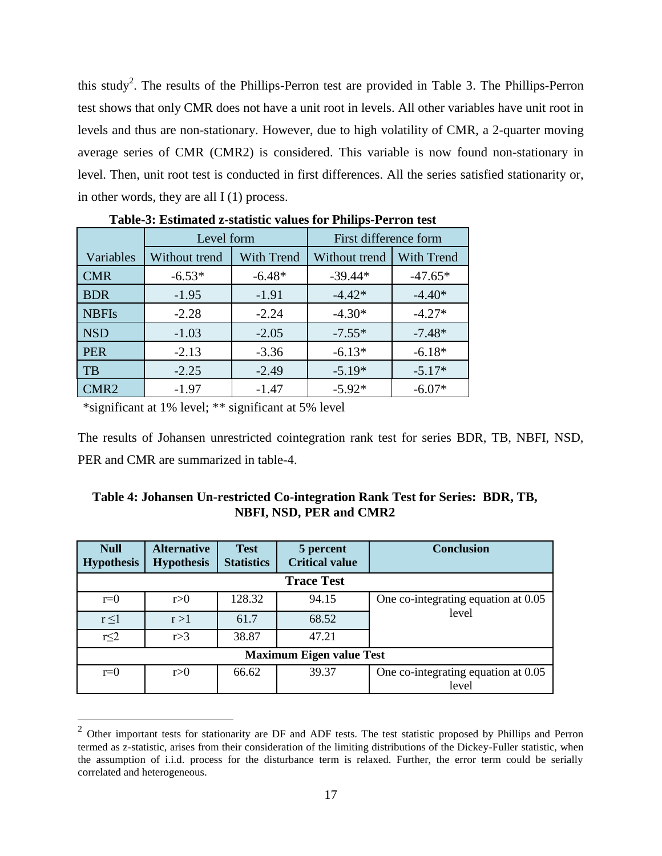this study<sup>2</sup>. The results of the Phillips-Perron test are provided in Table 3. The Phillips-Perron test shows that only CMR does not have a unit root in levels. All other variables have unit root in levels and thus are non-stationary. However, due to high volatility of CMR, a 2-quarter moving average series of CMR (CMR2) is considered. This variable is now found non-stationary in level. Then, unit root test is conducted in first differences. All the series satisfied stationarity or, in other words, they are all  $I(1)$  process.

| Tabic-9. Estimated <i>E</i> -statistic values for Thimps-I cri on test |               |                   |                       |                   |  |
|------------------------------------------------------------------------|---------------|-------------------|-----------------------|-------------------|--|
|                                                                        | Level form    |                   | First difference form |                   |  |
| Variables                                                              | Without trend | <b>With Trend</b> | Without trend         | <b>With Trend</b> |  |
| <b>CMR</b>                                                             | $-6.53*$      | $-6.48*$          | $-39.44*$             | $-47.65*$         |  |
| <b>BDR</b>                                                             | $-1.95$       | $-1.91$           | $-4.42*$              | $-4.40*$          |  |
| <b>NBFIs</b>                                                           | $-2.28$       | $-2.24$           | $-4.30*$              | $-4.27*$          |  |
| <b>NSD</b>                                                             | $-1.03$       | $-2.05$           | $-7.55*$              | $-7.48*$          |  |
| <b>PER</b>                                                             | $-2.13$       | $-3.36$           | $-6.13*$              | $-6.18*$          |  |
| <b>TB</b>                                                              | $-2.25$       | $-2.49$           | $-5.19*$              | $-5.17*$          |  |
| CMR2                                                                   | $-1.97$       | $-1.47$           | $-5.92*$              | $-6.07*$          |  |

## **Table-3: Estimated z-statistic values for Philips-Perron test**

\*significant at 1% level; \*\* significant at 5% level

The results of Johansen unrestricted cointegration rank test for series BDR, TB, NBFI, NSD, PER and CMR are summarized in table-4.

| Table 4: Johansen Un-restricted Co-integration Rank Test for Series: BDR, TB, |  |
|-------------------------------------------------------------------------------|--|
| <b>NBFI, NSD, PER and CMR2</b>                                                |  |

| <b>Null</b><br><b>Hypothesis</b> | <b>Alternative</b><br><b>Hypothesis</b> | <b>Test</b><br><b>Statistics</b> | 5 percent<br><b>Critical value</b> | <b>Conclusion</b>                   |  |
|----------------------------------|-----------------------------------------|----------------------------------|------------------------------------|-------------------------------------|--|
| <b>Trace Test</b>                |                                         |                                  |                                    |                                     |  |
| $r=0$                            | r > 0                                   | 128.32                           | 94.15                              | One co-integrating equation at 0.05 |  |
| $r \leq 1$                       | r > 1                                   | 61.7                             | 68.52                              | level                               |  |
| $r \leq 2$                       | r > 3                                   | 38.87                            | 47.21                              |                                     |  |
| <b>Maximum Eigen value Test</b>  |                                         |                                  |                                    |                                     |  |
| $r=0$                            | r>0                                     | 66.62                            | 39.37                              | One co-integrating equation at 0.05 |  |
|                                  |                                         |                                  |                                    | level                               |  |

<sup>&</sup>lt;sup>2</sup> Other important tests for stationarity are DF and ADF tests. The test statistic proposed by Phillips and Perron termed as z-statistic, arises from their consideration of the limiting distributions of the Dickey-Fuller statistic, when the assumption of i.i.d. process for the disturbance term is relaxed. Further, the error term could be serially correlated and heterogeneous.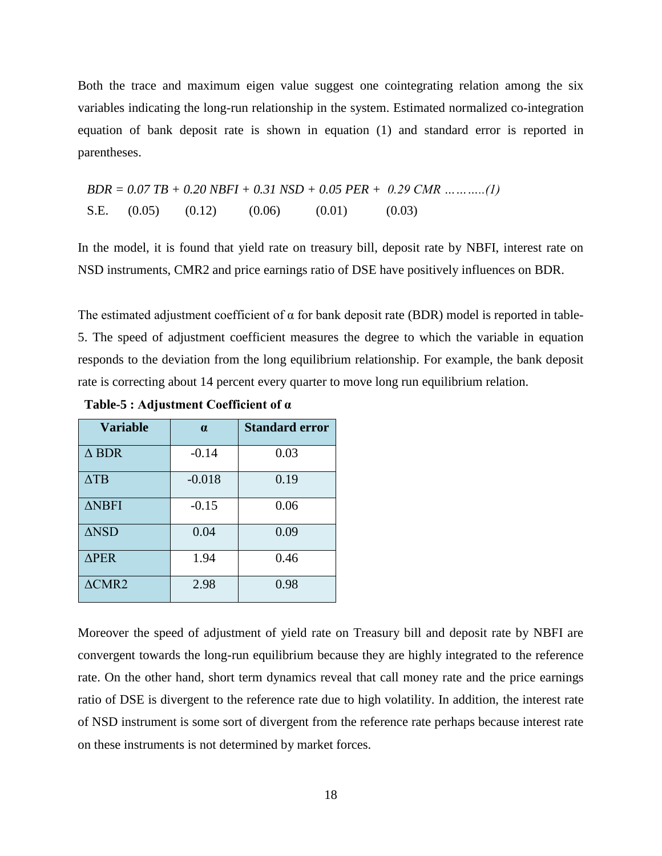Both the trace and maximum eigen value suggest one cointegrating relation among the six variables indicating the long-run relationship in the system. Estimated normalized co-integration equation of bank deposit rate is shown in equation (1) and standard error is reported in parentheses.

$$
BDR = 0.07 TB + 0.20 NBFI + 0.31 NSD + 0.05 PER + 0.29 CMR \dots \dots \dots (1)
$$
  
S.E. (0.05) (0.12) (0.06) (0.01) (0.03)

In the model, it is found that yield rate on treasury bill, deposit rate by NBFI, interest rate on NSD instruments, CMR2 and price earnings ratio of DSE have positively influences on BDR.

The estimated adjustment coefficient of  $\alpha$  for bank deposit rate (BDR) model is reported in table-5. The speed of adjustment coefficient measures the degree to which the variable in equation responds to the deviation from the long equilibrium relationship. For example, the bank deposit rate is correcting about 14 percent every quarter to move long run equilibrium relation.

| <b>Variable</b>  | $\alpha$ | <b>Standard error</b> |
|------------------|----------|-----------------------|
| $\triangle$ BDR  | $-0.14$  | 0.03                  |
| $\triangle$ TB   | $-0.018$ | 0.19                  |
| $\triangle$ NBFI | $-0.15$  | 0.06                  |
| $\triangle$ NSD  | 0.04     | 0.09                  |
| $\Delta$ PER     | 1.94     | 0.46                  |
| $\triangle CMR2$ | 2.98     | 0.98                  |

**Table-5 : Adjustment Coefficient of α**

Moreover the speed of adjustment of yield rate on Treasury bill and deposit rate by NBFI are convergent towards the long-run equilibrium because they are highly integrated to the reference rate. On the other hand, short term dynamics reveal that call money rate and the price earnings ratio of DSE is divergent to the reference rate due to high volatility. In addition, the interest rate of NSD instrument is some sort of divergent from the reference rate perhaps because interest rate on these instruments is not determined by market forces.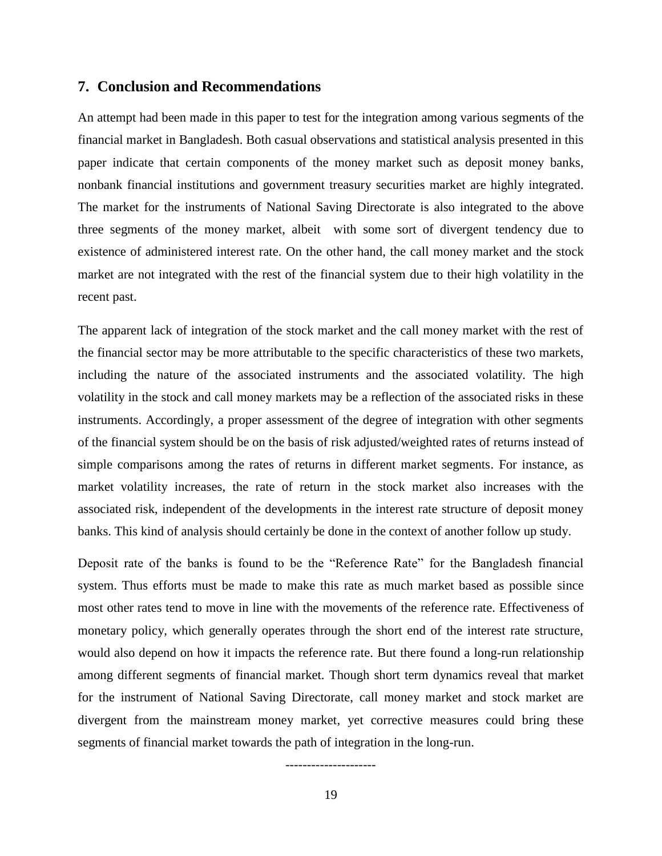#### **7. Conclusion and Recommendations**

An attempt had been made in this paper to test for the integration among various segments of the financial market in Bangladesh. Both casual observations and statistical analysis presented in this paper indicate that certain components of the money market such as deposit money banks, nonbank financial institutions and government treasury securities market are highly integrated. The market for the instruments of National Saving Directorate is also integrated to the above three segments of the money market, albeit with some sort of divergent tendency due to existence of administered interest rate. On the other hand, the call money market and the stock market are not integrated with the rest of the financial system due to their high volatility in the recent past.

The apparent lack of integration of the stock market and the call money market with the rest of the financial sector may be more attributable to the specific characteristics of these two markets, including the nature of the associated instruments and the associated volatility. The high volatility in the stock and call money markets may be a reflection of the associated risks in these instruments. Accordingly, a proper assessment of the degree of integration with other segments of the financial system should be on the basis of risk adjusted/weighted rates of returns instead of simple comparisons among the rates of returns in different market segments. For instance, as market volatility increases, the rate of return in the stock market also increases with the associated risk, independent of the developments in the interest rate structure of deposit money banks. This kind of analysis should certainly be done in the context of another follow up study.

Deposit rate of the banks is found to be the "Reference Rate" for the Bangladesh financial system. Thus efforts must be made to make this rate as much market based as possible since most other rates tend to move in line with the movements of the reference rate. Effectiveness of monetary policy, which generally operates through the short end of the interest rate structure, would also depend on how it impacts the reference rate. But there found a long-run relationship among different segments of financial market. Though short term dynamics reveal that market for the instrument of National Saving Directorate, call money market and stock market are divergent from the mainstream money market, yet corrective measures could bring these segments of financial market towards the path of integration in the long-run.

---------------------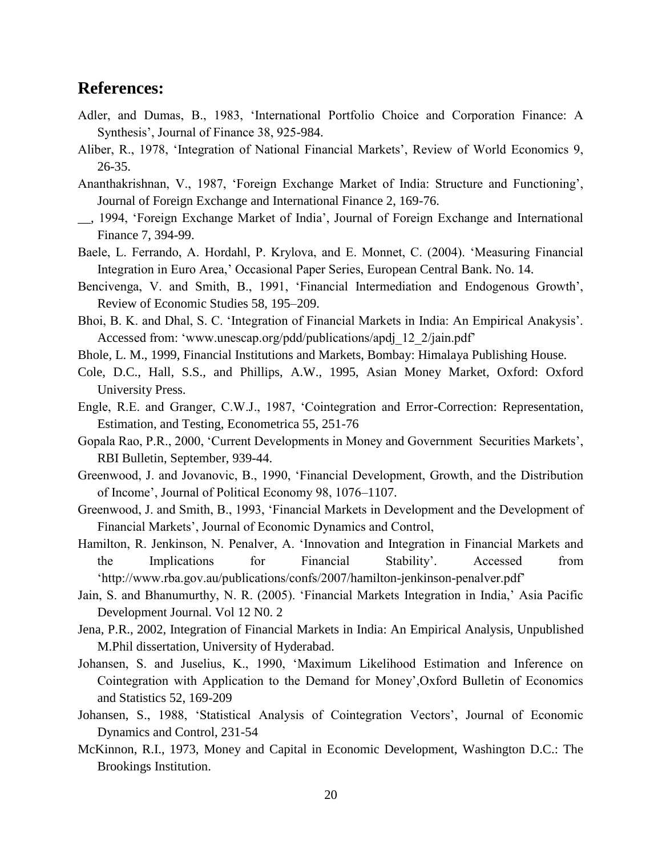# **References:**

- Adler, and Dumas, B., 1983, 'International Portfolio Choice and Corporation Finance: A Synthesis', Journal of Finance 38, 925-984.
- Aliber, R., 1978, 'Integration of National Financial Markets', Review of World Economics 9, 26-35.
- Ananthakrishnan, V., 1987, 'Foreign Exchange Market of India: Structure and Functioning', Journal of Foreign Exchange and International Finance 2, 169-76.
- \_\_, 1994, 'Foreign Exchange Market of India', Journal of Foreign Exchange and International Finance 7, 394-99.
- Baele, L. Ferrando, A. Hordahl, P. Krylova, and E. Monnet, C. (2004). 'Measuring Financial Integration in Euro Area,' Occasional Paper Series, European Central Bank. No. 14.
- Bencivenga, V. and Smith, B., 1991, 'Financial Intermediation and Endogenous Growth', Review of Economic Studies 58, 195–209.
- Bhoi, B. K. and Dhal, S. C. 'Integration of Financial Markets in India: An Empirical Anakysis'. Accessed from: 'www.unescap.org/pdd/publications/apdj\_12\_2/jain.pdf'
- Bhole, L. M., 1999, Financial Institutions and Markets, Bombay: Himalaya Publishing House.
- Cole, D.C., Hall, S.S., and Phillips, A.W., 1995, Asian Money Market, Oxford: Oxford University Press.
- Engle, R.E. and Granger, C.W.J., 1987, 'Cointegration and Error-Correction: Representation, Estimation, and Testing, Econometrica 55, 251-76
- Gopala Rao, P.R., 2000, 'Current Developments in Money and Government Securities Markets', RBI Bulletin, September, 939-44.
- Greenwood, J. and Jovanovic, B., 1990, 'Financial Development, Growth, and the Distribution of Income', Journal of Political Economy 98, 1076–1107.
- Greenwood, J. and Smith, B., 1993, 'Financial Markets in Development and the Development of Financial Markets', Journal of Economic Dynamics and Control,
- Hamilton, R. Jenkinson, N. Penalver, A. 'Innovation and Integration in Financial Markets and the Implications for Financial Stability'. Accessed from 'http://www.rba.gov.au/publications/confs/2007/hamilton-jenkinson-penalver.pdf'
- Jain, S. and Bhanumurthy, N. R. (2005). 'Financial Markets Integration in India,' Asia Pacific Development Journal. Vol 12 N0. 2
- Jena, P.R., 2002, Integration of Financial Markets in India: An Empirical Analysis, Unpublished M.Phil dissertation, University of Hyderabad.
- Johansen, S. and Juselius, K., 1990, 'Maximum Likelihood Estimation and Inference on Cointegration with Application to the Demand for Money',Oxford Bulletin of Economics and Statistics 52, 169-209
- Johansen, S., 1988, 'Statistical Analysis of Cointegration Vectors', Journal of Economic Dynamics and Control, 231-54
- McKinnon, R.I., 1973, Money and Capital in Economic Development, Washington D.C.: The Brookings Institution.